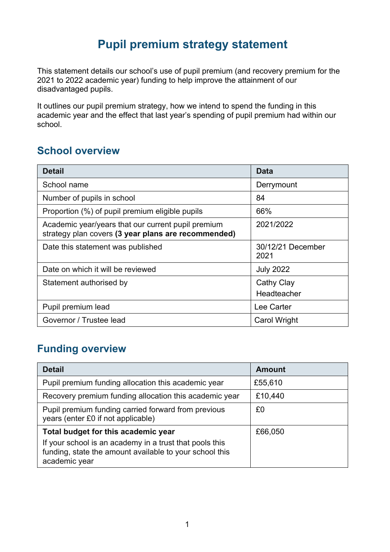# **Pupil premium strategy statement**

This statement details our school's use of pupil premium (and recovery premium for the 2021 to 2022 academic year) funding to help improve the attainment of our disadvantaged pupils.

It outlines our pupil premium strategy, how we intend to spend the funding in this academic year and the effect that last year's spending of pupil premium had within our school.

#### **School overview**

| <b>Detail</b>                                                                                             | Data                             |
|-----------------------------------------------------------------------------------------------------------|----------------------------------|
| School name                                                                                               | Derrymount                       |
| Number of pupils in school                                                                                | 84                               |
| Proportion (%) of pupil premium eligible pupils                                                           | 66%                              |
| Academic year/years that our current pupil premium<br>strategy plan covers (3 year plans are recommended) | 2021/2022                        |
| Date this statement was published                                                                         | 30/12/21 December<br>2021        |
| Date on which it will be reviewed                                                                         | <b>July 2022</b>                 |
| Statement authorised by                                                                                   | <b>Cathy Clay</b><br>Headteacher |
| Pupil premium lead                                                                                        | Lee Carter                       |
| Governor / Trustee lead                                                                                   | <b>Carol Wright</b>              |

## **Funding overview**

| <b>Detail</b>                                                                                                                       | <b>Amount</b> |
|-------------------------------------------------------------------------------------------------------------------------------------|---------------|
| Pupil premium funding allocation this academic year                                                                                 | £55,610       |
| Recovery premium funding allocation this academic year                                                                              | £10,440       |
| Pupil premium funding carried forward from previous<br>years (enter £0 if not applicable)                                           | £0            |
| Total budget for this academic year                                                                                                 | £66,050       |
| If your school is an academy in a trust that pools this<br>funding, state the amount available to your school this<br>academic year |               |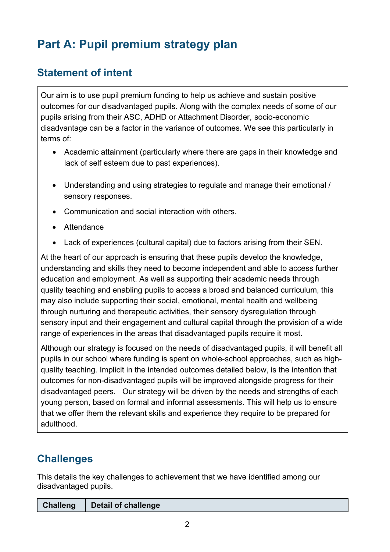# **Part A: Pupil premium strategy plan**

# **Statement of intent**

Our aim is to use pupil premium funding to help us achieve and sustain positive outcomes for our disadvantaged pupils. Along with the complex needs of some of our pupils arising from their ASC, ADHD or Attachment Disorder, socio-economic disadvantage can be a factor in the variance of outcomes. We see this particularly in terms of:

- Academic attainment (particularly where there are gaps in their knowledge and lack of self esteem due to past experiences).
- Understanding and using strategies to regulate and manage their emotional / sensory responses.
- Communication and social interaction with others.
- Attendance
- Lack of experiences (cultural capital) due to factors arising from their SEN.

At the heart of our approach is ensuring that these pupils develop the knowledge, understanding and skills they need to become independent and able to access further education and employment. As well as supporting their academic needs through quality teaching and enabling pupils to access a broad and balanced curriculum, this may also include supporting their social, emotional, mental health and wellbeing through nurturing and therapeutic activities, their sensory dysregulation through sensory input and their engagement and cultural capital through the provision of a wide range of experiences in the areas that disadvantaged pupils require it most.

Although our strategy is focused on the needs of disadvantaged pupils, it will benefit all pupils in our school where funding is spent on whole-school approaches, such as highquality teaching. Implicit in the intended outcomes detailed below, is the intention that outcomes for non-disadvantaged pupils will be improved alongside progress for their disadvantaged peers. Our strategy will be driven by the needs and strengths of each young person, based on formal and informal assessments. This will help us to ensure that we offer them the relevant skills and experience they require to be prepared for adulthood.

# **Challenges**

This details the key challenges to achievement that we have identified among our disadvantaged pupils.

| Challeng   Detail of challenge |
|--------------------------------|
|                                |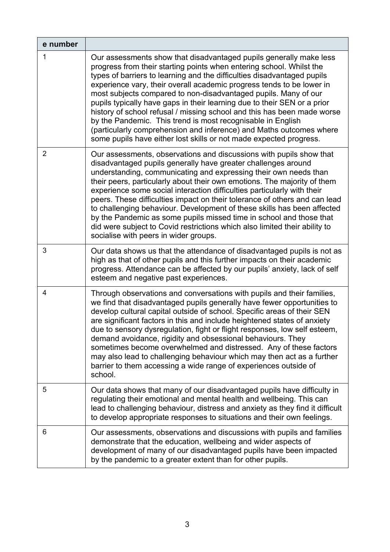| e number       |                                                                                                                                                                                                                                                                                                                                                                                                                                                                                                                                                                                                                                                                                                                                      |
|----------------|--------------------------------------------------------------------------------------------------------------------------------------------------------------------------------------------------------------------------------------------------------------------------------------------------------------------------------------------------------------------------------------------------------------------------------------------------------------------------------------------------------------------------------------------------------------------------------------------------------------------------------------------------------------------------------------------------------------------------------------|
| 1              | Our assessments show that disadvantaged pupils generally make less<br>progress from their starting points when entering school. Whilst the<br>types of barriers to learning and the difficulties disadvantaged pupils<br>experience vary, their overall academic progress tends to be lower in<br>most subjects compared to non-disadvantaged pupils. Many of our<br>pupils typically have gaps in their learning due to their SEN or a prior<br>history of school refusal / missing school and this has been made worse<br>by the Pandemic. This trend is most recognisable in English<br>(particularly comprehension and inference) and Maths outcomes where<br>some pupils have either lost skills or not made expected progress. |
| $\overline{2}$ | Our assessments, observations and discussions with pupils show that<br>disadvantaged pupils generally have greater challenges around<br>understanding, communicating and expressing their own needs than<br>their peers, particularly about their own emotions. The majority of them<br>experience some social interaction difficulties particularly with their<br>peers. These difficulties impact on their tolerance of others and can lead<br>to challenging behaviour. Development of these skills has been affected<br>by the Pandemic as some pupils missed time in school and those that<br>did were subject to Covid restrictions which also limited their ability to<br>socialise with peers in wider groups.               |
| 3              | Our data shows us that the attendance of disadvantaged pupils is not as<br>high as that of other pupils and this further impacts on their academic<br>progress. Attendance can be affected by our pupils' anxiety, lack of self<br>esteem and negative past experiences.                                                                                                                                                                                                                                                                                                                                                                                                                                                             |
| 4              | Through observations and conversations with pupils and their families,<br>we find that disadvantaged pupils generally have fewer opportunities to<br>develop cultural capital outside of school. Specific areas of their SEN<br>are significant factors in this and include heightened states of anxiety<br>due to sensory dysregulation, fight or flight responses, low self esteem,<br>demand avoidance, rigidity and obsessional behaviours. They<br>sometimes become overwhelmed and distressed. Any of these factors<br>may also lead to challenging behaviour which may then act as a further<br>barrier to them accessing a wide range of experiences outside of<br>school.                                                   |
| 5              | Our data shows that many of our disadvantaged pupils have difficulty in<br>regulating their emotional and mental health and wellbeing. This can<br>lead to challenging behaviour, distress and anxiety as they find it difficult<br>to develop appropriate responses to situations and their own feelings.                                                                                                                                                                                                                                                                                                                                                                                                                           |
| 6              | Our assessments, observations and discussions with pupils and families<br>demonstrate that the education, wellbeing and wider aspects of<br>development of many of our disadvantaged pupils have been impacted<br>by the pandemic to a greater extent than for other pupils.                                                                                                                                                                                                                                                                                                                                                                                                                                                         |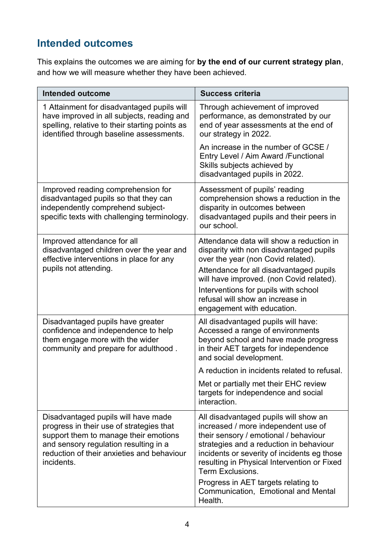# **Intended outcomes**

This explains the outcomes we are aiming for **by the end of our current strategy plan**, and how we will measure whether they have been achieved.

| <b>Intended outcome</b>                                                                                                                                                                                                       | <b>Success criteria</b>                                                                                                                                                                                                                                                            |
|-------------------------------------------------------------------------------------------------------------------------------------------------------------------------------------------------------------------------------|------------------------------------------------------------------------------------------------------------------------------------------------------------------------------------------------------------------------------------------------------------------------------------|
| 1 Attainment for disadvantaged pupils will<br>have improved in all subjects, reading and<br>spelling, relative to their starting points as<br>identified through baseline assessments.                                        | Through achievement of improved<br>performance, as demonstrated by our<br>end of year assessments at the end of<br>our strategy in 2022.                                                                                                                                           |
|                                                                                                                                                                                                                               | An increase in the number of GCSE /<br>Entry Level / Aim Award / Functional<br>Skills subjects achieved by<br>disadvantaged pupils in 2022.                                                                                                                                        |
| Improved reading comprehension for<br>disadvantaged pupils so that they can<br>independently comprehend subject-<br>specific texts with challenging terminology.                                                              | Assessment of pupils' reading<br>comprehension shows a reduction in the<br>disparity in outcomes between<br>disadvantaged pupils and their peers in<br>our school.                                                                                                                 |
| Improved attendance for all<br>disadvantaged children over the year and<br>effective interventions in place for any<br>pupils not attending.                                                                                  | Attendance data will show a reduction in<br>disparity with non disadvantaged pupils<br>over the year (non Covid related).<br>Attendance for all disadvantaged pupils<br>will have improved. (non Covid related).<br>Interventions for pupils with school                           |
|                                                                                                                                                                                                                               | refusal will show an increase in<br>engagement with education.                                                                                                                                                                                                                     |
| Disadvantaged pupils have greater<br>confidence and independence to help<br>them engage more with the wider<br>community and prepare for adulthood.                                                                           | All disadvantaged pupils will have:<br>Accessed a range of environments<br>beyond school and have made progress<br>in their AET targets for independence<br>and social development.                                                                                                |
|                                                                                                                                                                                                                               | A reduction in incidents related to refusal.                                                                                                                                                                                                                                       |
|                                                                                                                                                                                                                               | Met or partially met their EHC review<br>targets for independence and social<br>interaction.                                                                                                                                                                                       |
| Disadvantaged pupils will have made<br>progress in their use of strategies that<br>support them to manage their emotions<br>and sensory regulation resulting in a<br>reduction of their anxieties and behaviour<br>incidents. | All disadvantaged pupils will show an<br>increased / more independent use of<br>their sensory / emotional / behaviour<br>strategies and a reduction in behaviour<br>incidents or severity of incidents eg those<br>resulting in Physical Intervention or Fixed<br>Term Exclusions. |
|                                                                                                                                                                                                                               | Progress in AET targets relating to<br>Communication, Emotional and Mental<br>Health.                                                                                                                                                                                              |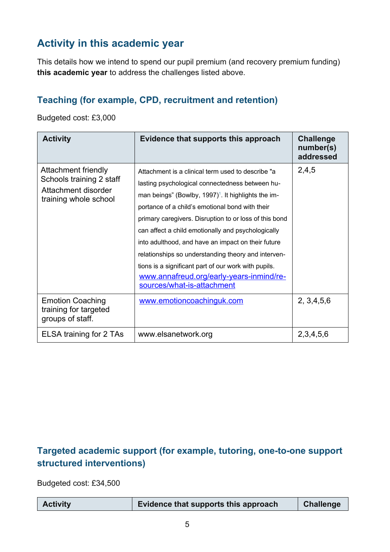# **Activity in this academic year**

This details how we intend to spend our pupil premium (and recovery premium funding) **this academic year** to address the challenges listed above.

#### **Teaching (for example, CPD, recruitment and retention)**

Budgeted cost: £3,000

| <b>Activity</b>                                                                                 | Evidence that supports this approach                                                                                                                                                                                                                                                                                                                                                                                                                                                                                                                                                         | <b>Challenge</b><br>number(s)<br>addressed |
|-------------------------------------------------------------------------------------------------|----------------------------------------------------------------------------------------------------------------------------------------------------------------------------------------------------------------------------------------------------------------------------------------------------------------------------------------------------------------------------------------------------------------------------------------------------------------------------------------------------------------------------------------------------------------------------------------------|--------------------------------------------|
| Attachment friendly<br>Schools training 2 staff<br>Attachment disorder<br>training whole school | Attachment is a clinical term used to describe "a<br>lasting psychological connectedness between hu-<br>man beings" (Bowlby, $1997$ ) <sup>1</sup> . It highlights the im-<br>portance of a child's emotional bond with their<br>primary caregivers. Disruption to or loss of this bond<br>can affect a child emotionally and psychologically<br>into adulthood, and have an impact on their future<br>relationships so understanding theory and interven-<br>tions is a significant part of our work with pupils.<br>www.annafreud.org/early-years-inmind/re-<br>sources/what-is-attachment | 2,4,5                                      |
| <b>Emotion Coaching</b><br>training for targeted<br>groups of staff.                            | www.emotioncoachinguk.com                                                                                                                                                                                                                                                                                                                                                                                                                                                                                                                                                                    | 2, 3, 4, 5, 6                              |
| ELSA training for 2 TAs                                                                         | www.elsanetwork.org                                                                                                                                                                                                                                                                                                                                                                                                                                                                                                                                                                          | 2, 3, 4, 5, 6                              |

#### **Targeted academic support (for example, tutoring, one-to-one support structured interventions)**

Budgeted cost: £34,500

| <b>Activity</b> | Evidence that supports this approach | <b>Challenge</b> |
|-----------------|--------------------------------------|------------------|
|-----------------|--------------------------------------|------------------|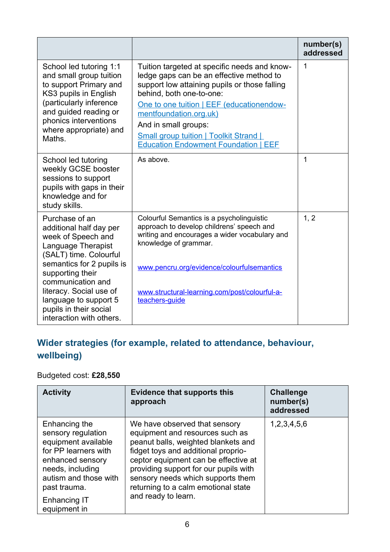|                                                                                                                                                                                                                                                                                                 |                                                                                                                                                                                                                                                                                                                                                                      | number(s)<br>addressed |
|-------------------------------------------------------------------------------------------------------------------------------------------------------------------------------------------------------------------------------------------------------------------------------------------------|----------------------------------------------------------------------------------------------------------------------------------------------------------------------------------------------------------------------------------------------------------------------------------------------------------------------------------------------------------------------|------------------------|
| School led tutoring 1:1<br>and small group tuition<br>to support Primary and<br>KS3 pupils in English<br>(particularly inference<br>and guided reading or<br>phonics interventions<br>where appropriate) and<br>Maths.                                                                          | Tuition targeted at specific needs and know-<br>ledge gaps can be an effective method to<br>support low attaining pupils or those falling<br>behind, both one-to-one:<br>One to one tuition   EEF (educationendow-<br>mentfoundation.org.uk)<br>And in small groups:<br><b>Small group tuition   Toolkit Strand  </b><br><b>Education Endowment Foundation   EEF</b> | 1                      |
| School led tutoring<br>weekly GCSE booster<br>sessions to support<br>pupils with gaps in their<br>knowledge and for<br>study skills.                                                                                                                                                            | As above.                                                                                                                                                                                                                                                                                                                                                            | 1                      |
| Purchase of an<br>additional half day per<br>week of Speech and<br>Language Therapist<br>(SALT) time. Colourful<br>semantics for 2 pupils is<br>supporting their<br>communication and<br>literacy. Social use of<br>language to support 5<br>pupils in their social<br>interaction with others. | Colourful Semantics is a psycholinguistic<br>approach to develop childrens' speech and<br>writing and encourages a wider vocabulary and<br>knowledge of grammar.<br>www.pencru.org/evidence/colourfulsemantics<br>www.structural-learning.com/post/colourful-a-<br>teachers-quide                                                                                    | 1, 2                   |

### **Wider strategies (for example, related to attendance, behaviour, wellbeing)**

#### Budgeted cost: **£28,550**

| <b>Activity</b>                                                                                                                                                                                            | <b>Evidence that supports this</b><br>approach                                                                                                                                                                                                                                                                                     | <b>Challenge</b><br>number(s)<br>addressed |
|------------------------------------------------------------------------------------------------------------------------------------------------------------------------------------------------------------|------------------------------------------------------------------------------------------------------------------------------------------------------------------------------------------------------------------------------------------------------------------------------------------------------------------------------------|--------------------------------------------|
| Enhancing the<br>sensory regulation<br>equipment available<br>for PP learners with<br>enhanced sensory<br>needs, including<br>autism and those with<br>past trauma.<br><b>Enhancing IT</b><br>equipment in | We have observed that sensory<br>equipment and resources such as<br>peanut balls, weighted blankets and<br>fidget toys and additional proprio-<br>ceptor equipment can be effective at<br>providing support for our pupils with<br>sensory needs which supports them<br>returning to a calm emotional state<br>and ready to learn. | 1,2,3,4,5,6                                |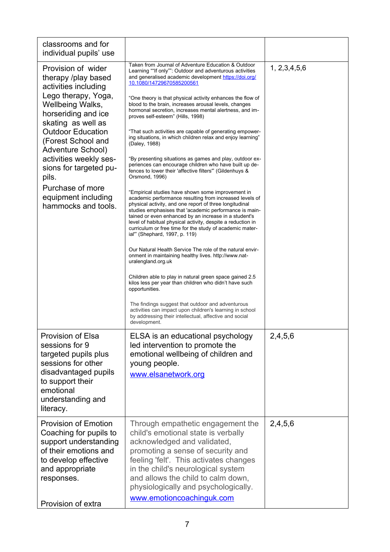| classrooms and for<br>individual pupils' use                                                                                                                                                                                                                                                                                                                    |                                                                                                                                                                                                                                                                                                                                                                                                                                                                                                                                                                                                                                                                                                                                                                                                                                                                                                                                                                                                                                                                                                                                                                                                                                                                                                                                                                                                                                                                                                                                                                                                                                                                                                                     |                  |
|-----------------------------------------------------------------------------------------------------------------------------------------------------------------------------------------------------------------------------------------------------------------------------------------------------------------------------------------------------------------|---------------------------------------------------------------------------------------------------------------------------------------------------------------------------------------------------------------------------------------------------------------------------------------------------------------------------------------------------------------------------------------------------------------------------------------------------------------------------------------------------------------------------------------------------------------------------------------------------------------------------------------------------------------------------------------------------------------------------------------------------------------------------------------------------------------------------------------------------------------------------------------------------------------------------------------------------------------------------------------------------------------------------------------------------------------------------------------------------------------------------------------------------------------------------------------------------------------------------------------------------------------------------------------------------------------------------------------------------------------------------------------------------------------------------------------------------------------------------------------------------------------------------------------------------------------------------------------------------------------------------------------------------------------------------------------------------------------------|------------------|
| Provision of wider<br>therapy /play based<br>activities including<br>Lego therapy, Yoga,<br>Wellbeing Walks,<br>horseriding and ice<br>skating as well as<br><b>Outdoor Education</b><br>(Forest School and<br>Adventure School)<br>activities weekly ses-<br>sions for targeted pu-<br>pils.<br>Purchase of more<br>equipment including<br>hammocks and tools. | Taken from Journal of Adventure Education & Outdoor<br>Learning ""If only"": Outdoor and adventurous activities<br>and generalised academic development https://doi.org/<br>10.1080/14729670585200561<br>"One theory is that physical activity enhances the flow of<br>blood to the brain, increases arousal levels, changes<br>hormonal secretion, increases mental alertness, and im-<br>proves self-esteem" (Hills, 1998)<br>"That such activities are capable of generating empower-<br>ing situations, in which children relax and enjoy learning"<br>(Daley, 1988)<br>"By presenting situations as games and play, outdoor ex-<br>periences can encourage children who have built up de-<br>fences to lower their 'affective filters" (Gildenhuys &<br>Orsmond, 1996)<br>"Empirical studies have shown some improvement in<br>academic performance resulting from increased levels of<br>physical activity, and one report of three longitudinal<br>studies emphasises that 'academic performance is main-<br>tained or even enhanced by an increase in a student's<br>level of habitual physical activity, despite a reduction in<br>curriculum or free time for the study of academic mater-<br>ial"" (Shephard, 1997, p. 119)<br>Our Natural Health Service The role of the natural envir-<br>onment in maintaining healthy lives. http://www.nat-<br>uralengland.org.uk<br>Children able to play in natural green space gained 2.5<br>kilos less per year than children who didn't have such<br>opportunities.<br>The findings suggest that outdoor and adventurous<br>activities can impact upon children's learning in school<br>by addressing their intellectual, affective and social<br>development. | 1, 2, 3, 4, 5, 6 |
| <b>Provision of Elsa</b><br>sessions for 9<br>targeted pupils plus<br>sessions for other<br>disadvantaged pupils<br>to support their<br>emotional<br>understanding and<br>literacy.                                                                                                                                                                             | ELSA is an educational psychology<br>led intervention to promote the<br>emotional wellbeing of children and<br>young people.<br>www.elsanetwork.org                                                                                                                                                                                                                                                                                                                                                                                                                                                                                                                                                                                                                                                                                                                                                                                                                                                                                                                                                                                                                                                                                                                                                                                                                                                                                                                                                                                                                                                                                                                                                                 | 2,4,5,6          |
| <b>Provision of Emotion</b><br>Coaching for pupils to<br>support understanding<br>of their emotions and<br>to develop effective<br>and appropriate<br>responses.<br>Provision of extra                                                                                                                                                                          | Through empathetic engagement the<br>child's emotional state is verbally<br>acknowledged and validated,<br>promoting a sense of security and<br>feeling 'felt'. This activates changes<br>in the child's neurological system<br>and allows the child to calm down,<br>physiologically and psychologically.<br>www.emotioncoachinguk.com                                                                                                                                                                                                                                                                                                                                                                                                                                                                                                                                                                                                                                                                                                                                                                                                                                                                                                                                                                                                                                                                                                                                                                                                                                                                                                                                                                             | 2,4,5,6          |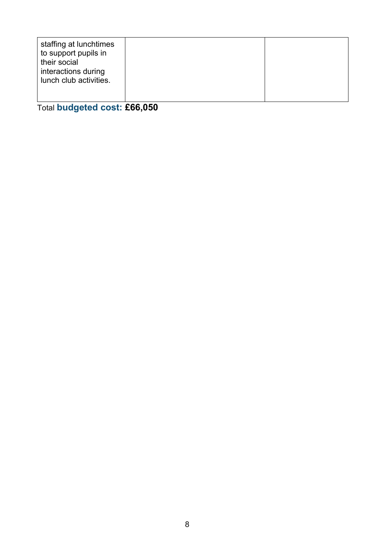| staffing at lunchtimes<br>to support pupils in<br>their social<br>interactions during<br>lunch club activities. |  |  |
|-----------------------------------------------------------------------------------------------------------------|--|--|
|-----------------------------------------------------------------------------------------------------------------|--|--|

Total **budgeted cost: £66,050**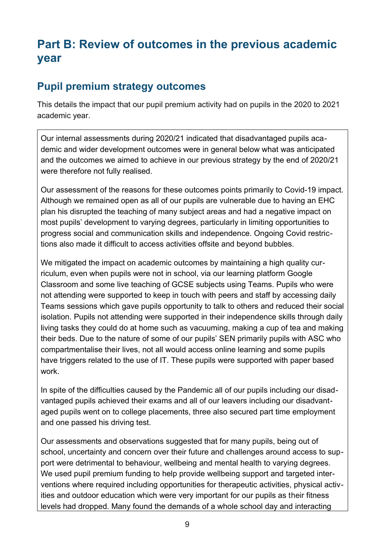# **Part B: Review of outcomes in the previous academic year**

#### **Pupil premium strategy outcomes**

This details the impact that our pupil premium activity had on pupils in the 2020 to 2021 academic year.

Our internal assessments during 2020/21 indicated that disadvantaged pupils academic and wider development outcomes were in general below what was anticipated and the outcomes we aimed to achieve in our previous strategy by the end of 2020/21 were therefore not fully realised.

Our assessment of the reasons for these outcomes points primarily to Covid-19 impact. Although we remained open as all of our pupils are vulnerable due to having an EHC plan his disrupted the teaching of many subject areas and had a negative impact on most pupils' development to varying degrees, particularly in limiting opportunities to progress social and communication skills and independence. Ongoing Covid restrictions also made it difficult to access activities offsite and beyond bubbles.

We mitigated the impact on academic outcomes by maintaining a high quality curriculum, even when pupils were not in school, via our learning platform Google Classroom and some live teaching of GCSE subjects using Teams. Pupils who were not attending were supported to keep in touch with peers and staff by accessing daily Teams sessions which gave pupils opportunity to talk to others and reduced their social isolation. Pupils not attending were supported in their independence skills through daily living tasks they could do at home such as vacuuming, making a cup of tea and making their beds. Due to the nature of some of our pupils' SEN primarily pupils with ASC who compartmentalise their lives, not all would access online learning and some pupils have triggers related to the use of IT. These pupils were supported with paper based work.

In spite of the difficulties caused by the Pandemic all of our pupils including our disadvantaged pupils achieved their exams and all of our leavers including our disadvantaged pupils went on to college placements, three also secured part time employment and one passed his driving test.

Our assessments and observations suggested that for many pupils, being out of school, uncertainty and concern over their future and challenges around access to support were detrimental to behaviour, wellbeing and mental health to varying degrees. We used pupil premium funding to help provide wellbeing support and targeted interventions where required including opportunities for therapeutic activities, physical activities and outdoor education which were very important for our pupils as their fitness levels had dropped. Many found the demands of a whole school day and interacting